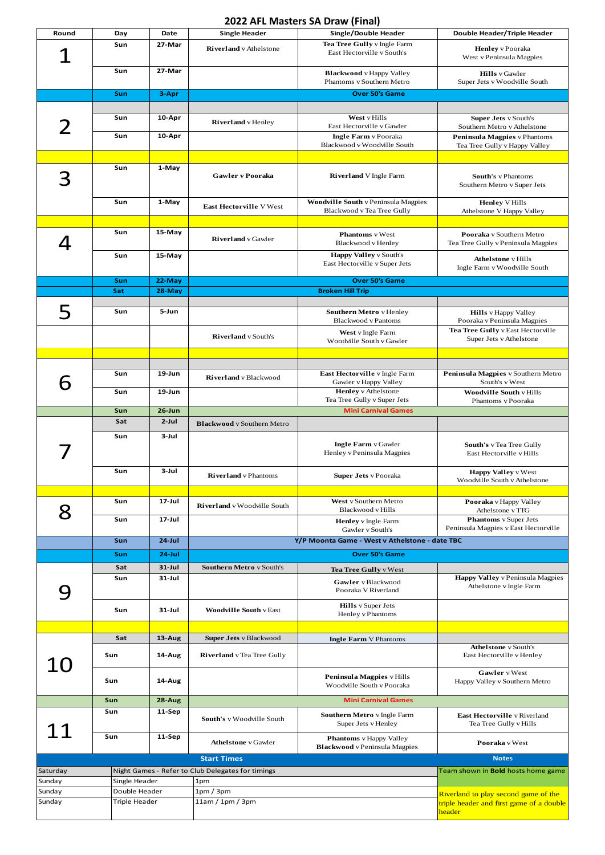## **2022 AFL Masters SA Draw (Final)**

| Round                   | Day           | Date                     | <b>Single Header</b>                                 | Single/Double Header                                                          | Double Header/Triple Header                                                                 |
|-------------------------|---------------|--------------------------|------------------------------------------------------|-------------------------------------------------------------------------------|---------------------------------------------------------------------------------------------|
|                         | Sun           | 27-Mar                   | <b>Riverland</b> v Athelstone                        | Tea Tree Gully v Ingle Farm<br>East Hectorville v South's                     | <b>Henley</b> v Pooraka<br>West v Peninsula Magpies                                         |
|                         | Sun           | 27-Mar                   |                                                      | <b>Blackwood</b> v Happy Valley<br>Phantoms v Southern Metro                  | <b>Hills</b> v Gawler<br>Super Jets v Woodville South                                       |
|                         | Sun           | 3-Apr                    |                                                      | <b>Over 50's Game</b>                                                         |                                                                                             |
|                         |               |                          |                                                      |                                                                               |                                                                                             |
|                         | Sun           | 10-Apr                   | <b>Riverland</b> v Henley                            | West v Hills<br>East Hectorville v Gawler                                     | <b>Super Jets</b> v South's<br>Southern Metro v Athelstone                                  |
|                         | Sun           | 10-Apr                   |                                                      | <b>Ingle Farm</b> v Pooraka<br>Blackwood v Woodville South                    | Peninsula Magpies v Phantoms<br>Tea Tree Gully v Happy Valley                               |
|                         | Sun           | 1-May                    | Gawler v Pooraka                                     | <b>Riverland</b> V Ingle Farm                                                 | <b>South's v Phantoms</b><br>Southern Metro v Super Jets                                    |
|                         | Sun           | 1-May                    | <b>East Hectorville V West</b>                       | <b>Woodville South v Peninsula Magpies</b><br>Blackwood v Tea Tree Gully      | <b>Henley V Hills</b><br>Athelstone V Happy Valley                                          |
|                         | Sun<br>Sun    | 15-May<br>15-May         | <b>Riverland</b> v Gawler                            | <b>Phantoms</b> v West<br>Blackwood v Henley<br><b>Happy Valley v South's</b> | Pooraka v Southern Metro<br>Tea Tree Gully v Peninsula Magpies<br><b>Athelstone</b> v Hills |
|                         |               |                          |                                                      | East Hectorville v Super Jets                                                 | Ingle Farm v Woodville South                                                                |
|                         | Sun           | 22-May                   | <b>Over 50's Game</b>                                |                                                                               |                                                                                             |
|                         | Sat           | 28-May                   |                                                      | <b>Broken Hill Trip</b>                                                       |                                                                                             |
| 5                       | Sun           | 5-Jun                    |                                                      | Southern Metro v Henley<br><b>Blackwood</b> v Pantoms                         | <b>Hills</b> v Happy Valley<br>Pooraka v Peninsula Magpies                                  |
|                         |               |                          | <b>Riverland</b> v South's                           | West v Ingle Farm<br>Woodville South v Gawler                                 | Tea Tree Gully v East Hectorville<br>Super Jets v Athelstone                                |
|                         |               |                          |                                                      |                                                                               |                                                                                             |
| 6                       | Sun           | $19 - Jun$               | <b>Riverland</b> v Blackwood                         | East Hectorville v Ingle Farm<br>Gawler v Happy Valley                        | Peninsula Magpies v Southern Metro<br>South's v West                                        |
|                         | Sun           | $19 - Jun$               |                                                      | <b>Henley</b> v Athelstone<br>Tea Tree Gully v Super Jets                     | <b>Woodville South v Hills</b><br>Phantoms v Pooraka                                        |
|                         | Sun           | $26 - Jun$               |                                                      | <b>Mini Carnival Games</b>                                                    |                                                                                             |
|                         | Sat           | $2$ -Jul                 | <b>Blackwood</b> v Southern Metro                    |                                                                               |                                                                                             |
|                         | Sun           | 3-Jul                    |                                                      | <b>Ingle Farm</b> v Gawler<br>Henley v Peninsula Magpies                      | South's v Tea Tree Gully<br>East Hectorville v Hills                                        |
|                         | Sun           | 3-Jul                    | <b>Riverland</b> v Phantoms                          | <b>Super Jets</b> v Pooraka                                                   | <b>Happy Valley v West</b><br>Woodville South v Athelstone                                  |
| 8                       | Sun           | $17 -$ Jul               | Riverland v Woodville South                          | West v Southern Metro<br>Blackwood v Hills                                    | Pooraka v Happy Valley<br>Athelstone v TTG                                                  |
|                         | Sun           | $17 -$ Jul               |                                                      | <b>Henley</b> v Ingle Farm<br>Gawler v South's                                | <b>Phantoms</b> v Super Jets<br>Peninsula Magpies v East Hectorville                        |
|                         | Sun           | $24$ -Jul                |                                                      | Y/P Moonta Game - West v Athelstone - date TBC                                |                                                                                             |
|                         | Sun           | $24$ -Jul                |                                                      | <b>Over 50's Game</b>                                                         |                                                                                             |
|                         | Sat<br>Sun    | $31 - Jul$<br>$31 -$ Jul | <b>Southern Metro</b> v South's                      | Tea Tree Gully v West<br>Gawler v Blackwood<br>Pooraka V Riverland            | <b>Happy Valley</b> v Peninsula Magpies<br>Athelstone v Ingle Farm                          |
|                         | Sun           | $31 -$ Jul               | <b>Woodville South v East</b>                        | <b>Hills</b> v Super Jets<br>Henley v Phantoms                                |                                                                                             |
|                         |               |                          |                                                      |                                                                               |                                                                                             |
| 10                      | Sat<br>Sun    | $13$ -Aug<br>14-Aug      | Super Jets v Blackwood<br>Riverland v Tea Tree Gully | <b>Ingle Farm V Phantoms</b>                                                  | <b>Athelstone</b> v South's<br>East Hectorville v Henley                                    |
|                         | Sun           | 14-Aug                   |                                                      | Peninsula Magpies v Hills<br>Woodville South v Pooraka                        | Gawler v West<br>Happy Valley v Southern Metro                                              |
|                         | Sun           | $28-Aug$                 |                                                      | <b>Mini Carnival Games</b>                                                    |                                                                                             |
| 11                      | Sun           | 11-Sep                   | South's v Woodville South                            | Southern Metro v Ingle Farm<br>Super Jets v Henley                            | East Hectorville v Riverland<br>Tea Tree Gully v Hills                                      |
|                         | Sun           | 11-Sep                   | <b>Athelstone</b> v Gawler                           | <b>Phantoms</b> v Happy Valley<br><b>Blackwood</b> v Peninsula Magpies        | Pooraka v West                                                                              |
|                         |               |                          | <b>Start Times</b>                                   |                                                                               | <b>Notes</b>                                                                                |
| Saturday                |               |                          | Night Games - Refer to Club Delegates for timings    |                                                                               | Team shown in <b>Bold</b> hosts home game                                                   |
| Sunday                  | Single Header |                          | 1pm                                                  |                                                                               |                                                                                             |
| Sunday<br>Double Header |               |                          | 1pm/3pm                                              |                                                                               | Riverland to play second game of the                                                        |
| Sunday<br>Triple Header |               | 11am / 1pm / 3pm         |                                                      | triple header and first game of a double<br>header                            |                                                                                             |